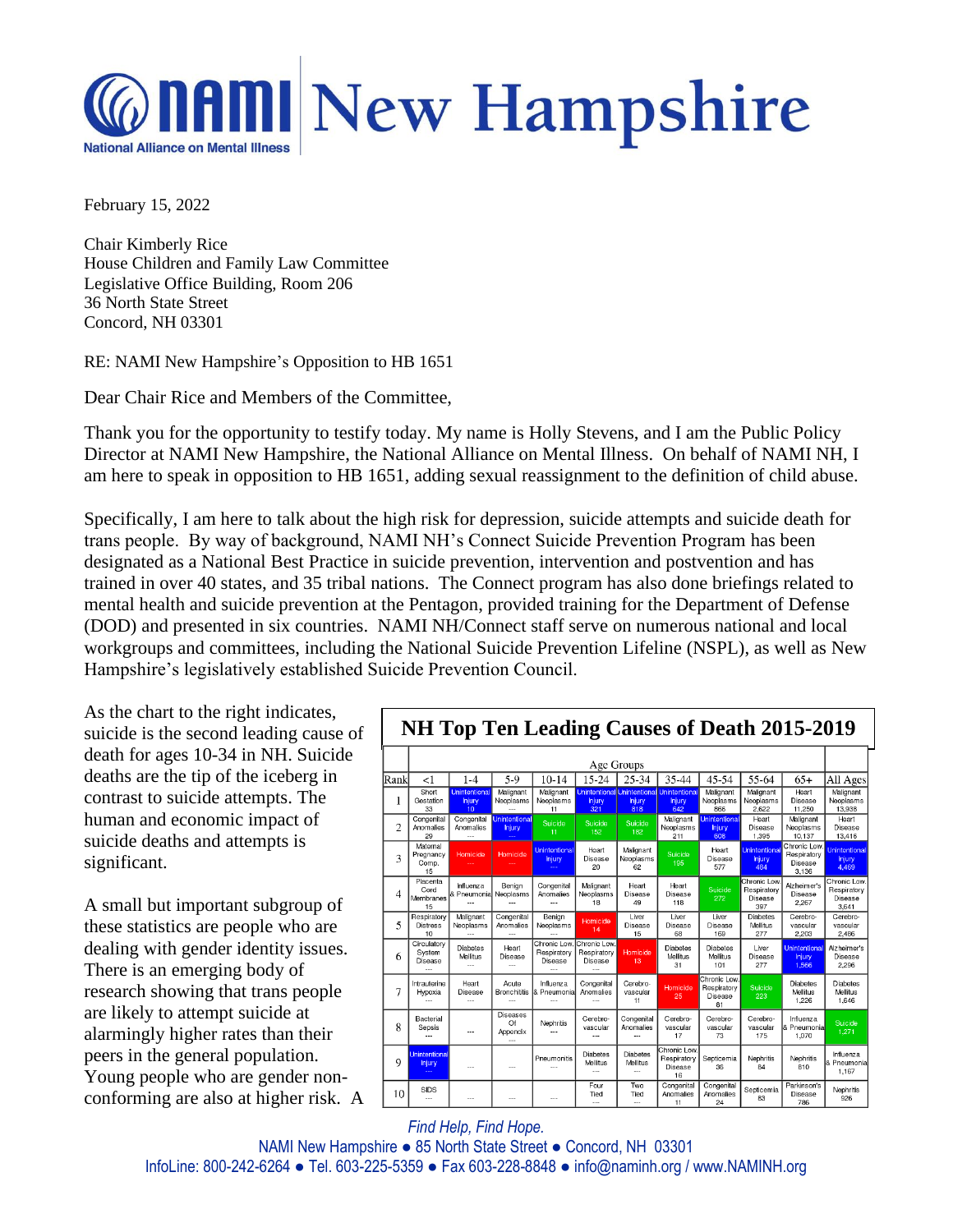

February 15, 2022

Chair Kimberly Rice House Children and Family Law Committee Legislative Office Building, Room 206 36 North State Street Concord, NH 03301

RE: NAMI New Hampshire's Opposition to HB 1651

Dear Chair Rice and Members of the Committee,

Thank you for the opportunity to testify today. My name is Holly Stevens, and I am the Public Policy Director at NAMI New Hampshire, the National Alliance on Mental Illness. On behalf of NAMI NH, I am here to speak in opposition to HB 1651, adding sexual reassignment to the definition of child abuse.

Specifically, I am here to talk about the high risk for depression, suicide attempts and suicide death for trans people. By way of background, NAMI NH's Connect Suicide Prevention Program has been designated as a National Best Practice in suicide prevention, intervention and postvention and has trained in over 40 states, and 35 tribal nations. The Connect program has also done briefings related to mental health and suicide prevention at the Pentagon, provided training for the Department of Defense (DOD) and presented in six countries. NAMI NH/Connect staff serve on numerous national and local workgroups and committees, including the National Suicide Prevention Lifeline (NSPL), as well as New Hampshire's legislatively established Suicide Prevention Council.

As the chart to the right indicates, suicide is the second leading cause of death for ages 10-34 in NH. Suicide deaths are the tip of the iceberg in contrast to suicide attempts. The human and economic impact of suicide deaths and attempts is significant.

A small but important subgroup of these statistics are people who are dealing with gender identity issues. There is an emerging body of research showing that trans people are likely to attempt suicide at alarmingly higher rates than their peers in the general population. Young people who are gender nonconforming are also at higher risk. A



*Find Help, Find Hope.*